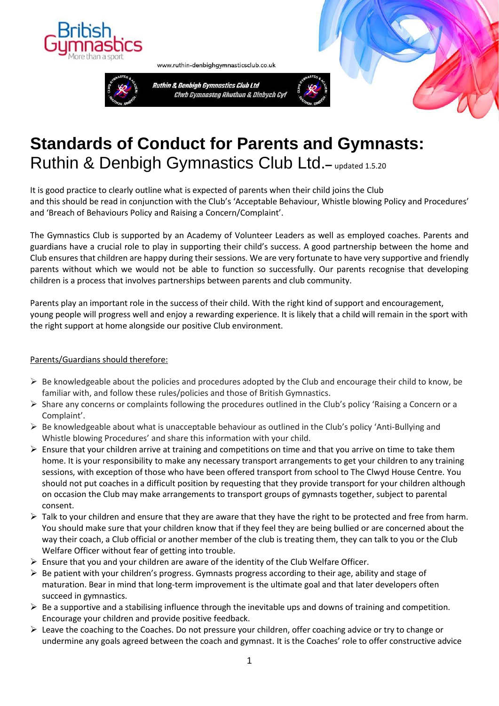

www.ruthin-denbighgymnasticsclub.co.uk



# **Standards of Conduct for Parents and Gymnasts:**  Ruthin & Denbigh Gymnastics Club Ltd. - updated 1.5.20

It is good practice to clearly outline what is expected of parents when their child joins the Club and this should be read in conjunction with the Club's 'Acceptable Behaviour, Whistle blowing Policy and Procedures' and 'Breach of Behaviours Policy and Raising a Concern/Complaint'.

The Gymnastics Club is supported by an Academy of Volunteer Leaders as well as employed coaches. Parents and guardians have a crucial role to play in supporting their child's success. A good partnership between the home and Club ensures that children are happy during their sessions. We are very fortunate to have very supportive and friendly parents without which we would not be able to function so successfully. Our parents recognise that developing children is a process that involves partnerships between parents and club community.

Parents play an important role in the success of their child. With the right kind of support and encouragement, young people will progress well and enjoy a rewarding experience. It is likely that a child will remain in the sport with the right support at home alongside our positive Club environment.

### Parents/Guardians should therefore:

- $\triangleright$  Be knowledgeable about the policies and procedures adopted by the Club and encourage their child to know, be familiar with, and follow these rules/policies and those of British Gymnastics.
- ➢ Share any concerns or complaints following the procedures outlined in the Club's policy 'Raising a Concern or a Complaint'.
- $\triangleright$  Be knowledgeable about what is unacceptable behaviour as outlined in the Club's policy 'Anti-Bullying and Whistle blowing Procedures' and share this information with your child.
- ➢ Ensure that your children arrive at training and competitions on time and that you arrive on time to take them home. It is your responsibility to make any necessary transport arrangements to get your children to any training sessions, with exception of those who have been offered transport from school to The Clwyd House Centre. You should not put coaches in a difficult position by requesting that they provide transport for your children although on occasion the Club may make arrangements to transport groups of gymnasts together, subject to parental consent.
- $\triangleright$  Talk to your children and ensure that they are aware that they have the right to be protected and free from harm. You should make sure that your children know that if they feel they are being bullied or are concerned about the way their coach, a Club official or another member of the club is treating them, they can talk to you or the Club Welfare Officer without fear of getting into trouble.
- $\triangleright$  Ensure that you and your children are aware of the identity of the Club Welfare Officer.
- $\triangleright$  Be patient with your children's progress. Gymnasts progress according to their age, ability and stage of maturation. Bear in mind that long-term improvement is the ultimate goal and that later developers often succeed in gymnastics.
- $\triangleright$  Be a supportive and a stabilising influence through the inevitable ups and downs of training and competition. Encourage your children and provide positive feedback.
- ➢ Leave the coaching to the Coaches. Do not pressure your children, offer coaching advice or try to change or undermine any goals agreed between the coach and gymnast. It is the Coaches' role to offer constructive advice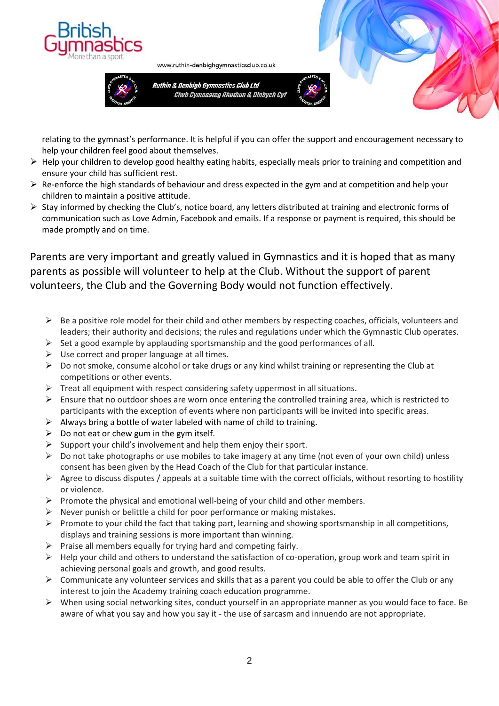



Ruthin & Denbigh Gymnastics Club Ltd Clwb Gymnasteg Rhuthun & Dinbych Cyl

www.ruthin-denbighgymnasticsclub.co.uk



relating to the gymnast's performance. It is helpful if you can offer the support and encouragement necessary to help your children feel good about themselves.

- $\triangleright$  Help your children to develop good healthy eating habits, especially meals prior to training and competition and ensure your child has sufficient rest.
- $\triangleright$  Re-enforce the high standards of behaviour and dress expected in the gym and at competition and help your children to maintain a positive attitude.
- $\triangleright$  Stay informed by checking the Club's, notice board, any letters distributed at training and electronic forms of communication such as Love Admin, Facebook and emails. If a response or payment is required, this should be made promptly and on time.

## Parents are very important and greatly valued in Gymnastics and it is hoped that as many parents as possible will volunteer to help at the Club. Without the support of parent volunteers, the Club and the Governing Body would not function effectively.

- $\triangleright$  Be a positive role model for their child and other members by respecting coaches, officials, volunteers and leaders; their authority and decisions; the rules and regulations under which the Gymnastic Club operates.
- $\triangleright$  Set a good example by applauding sportsmanship and the good performances of all.
- $\triangleright$  Use correct and proper language at all times.
- $\triangleright$  Do not smoke, consume alcohol or take drugs or any kind whilst training or representing the Club at competitions or other events.
- $\triangleright$  Treat all equipment with respect considering safety uppermost in all situations.
- $\triangleright$  Ensure that no outdoor shoes are worn once entering the controlled training area, which is restricted to participants with the exception of events where non participants will be invited into specific areas.
- $\triangleright$  Always bring a bottle of water labeled with name of child to training.
- $\triangleright$  Do not eat or chew gum in the gym itself.
- $\triangleright$  Support your child's involvement and help them enjoy their sport.
- $\triangleright$  Do not take photographs or use mobiles to take imagery at any time (not even of your own child) unless consent has been given by the Head Coach of the Club for that particular instance.
- $\triangleright$  Agree to discuss disputes / appeals at a suitable time with the correct officials, without resorting to hostility or violence.
- $\triangleright$  Promote the physical and emotional well-being of your child and other members.
- $\triangleright$  Never punish or belittle a child for poor performance or making mistakes.
- $\triangleright$  Promote to your child the fact that taking part, learning and showing sportsmanship in all competitions, displays and training sessions is more important than winning.
- $\triangleright$  Praise all members equally for trying hard and competing fairly.
- $\triangleright$  Help your child and others to understand the satisfaction of co-operation, group work and team spirit in achieving personal goals and growth, and good results.
- $\triangleright$  Communicate any volunteer services and skills that as a parent you could be able to offer the Club or any interest to join the Academy training coach education programme.
- ➢ When using social networking sites, conduct yourself in an appropriate manner as you would face to face. Be aware of what you say and how you say it - the use of sarcasm and innuendo are not appropriate.